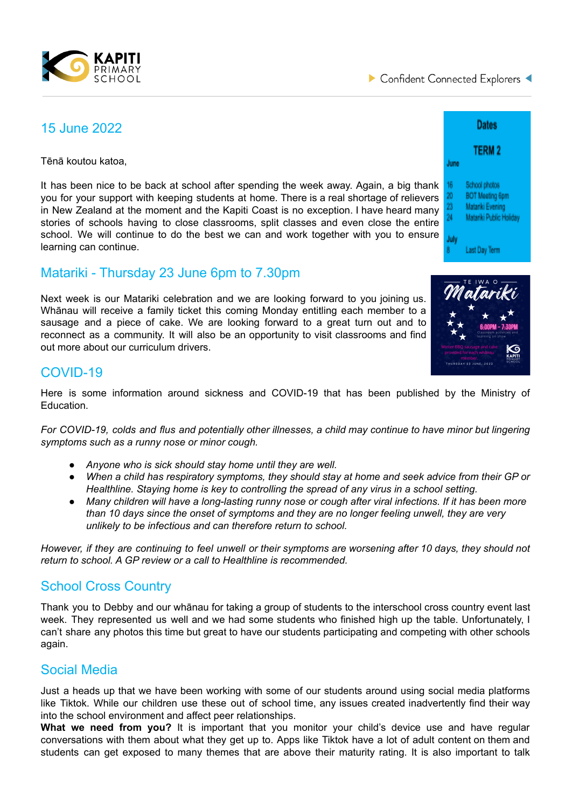

## 15 June 2022

Tēnā koutou katoa,

It has been nice to be back at school after spending the week away. Again, a big thank you for your support with keeping students at home. There is a real shortage of relievers in New Zealand at the moment and the Kapiti Coast is no exception. I have heard many stories of schools having to close classrooms, split classes and even close the entire school. We will continue to do the best we can and work together with you to ensure learning can continue.

### Matariki - Thursday 23 June 6pm to 7.30pm

Next week is our Matariki celebration and we are looking forward to you joining us. Whānau will receive a family ticket this coming Monday entitling each member to a sausage and a piece of cake. We are looking forward to a great turn out and to reconnect as a community. It will also be an opportunity to visit classrooms and find out more about our curriculum drivers.



### COVID-19

Here is some information around sickness and COVID-19 that has been published by the Ministry of Education.

For COVID-19, colds and flus and potentially other illnesses, a child may continue to have minor but lingering *symptoms such as a runny nose or minor cough.*

- *● Anyone who is sick should stay home until they are well.*
- *● When a child has respiratory symptoms, they should stay at home and seek advice from their GP or Healthline. Staying home is key to controlling the spread of any virus in a school setting.*
- *● Many children will have a long-lasting runny nose or cough after viral infections. If it has been more than 10 days since the onset of symptoms and they are no longer feeling unwell, they are very unlikely to be infectious and can therefore return to school.*

However, if they are continuing to feel unwell or their symptoms are worsening after 10 days, they should not *return to school. A GP review or a call to Healthline is recommended.*

#### School Cross Country

Thank you to Debby and our whānau for taking a group of students to the interschool cross country event last week. They represented us well and we had some students who finished high up the table. Unfortunately, I can't share any photos this time but great to have our students participating and competing with other schools again.

#### Social Media

Just a heads up that we have been working with some of our students around using social media platforms like Tiktok. While our children use these out of school time, any issues created inadvertently find their way into the school environment and affect peer relationships.

**What we need from you?** It is important that you monitor your child's device use and have regular conversations with them about what they get up to. Apps like Tiktok have a lot of adult content on them and students can get exposed to many themes that are above their maturity rating. It is also important to talk

| Dates     |                         |
|-----------|-------------------------|
| June      | <b>TERM 2</b>           |
|           |                         |
| 16        | School photos           |
| 20        | <b>BOT Meeting 6pm</b>  |
| 23        | Matariki Evening        |
| 24        | Matariki Public Holiday |
| July<br>8 | Last Day Term           |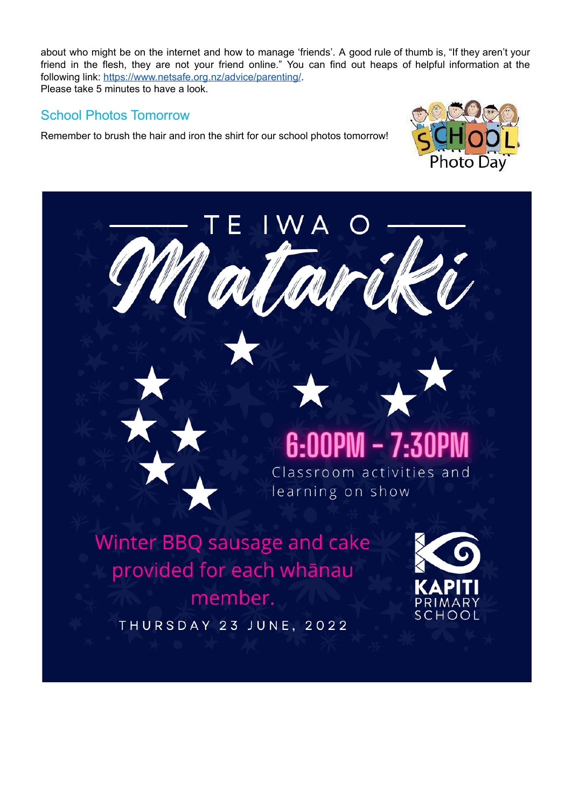about who might be on the internet and how to manage 'friends'. A good rule of thumb is, "If they aren't your friend in the flesh, they are not your friend online." You can find out heaps of helpful information at the following link: [https://www.netsafe.org.nz/advice/parenting/.](https://www.netsafe.org.nz/advice/parenting/) Please take 5 minutes to have a look.

#### School Photos Tomorrow

Remember to brush the hair and iron the shirt for our school photos tomorrow!



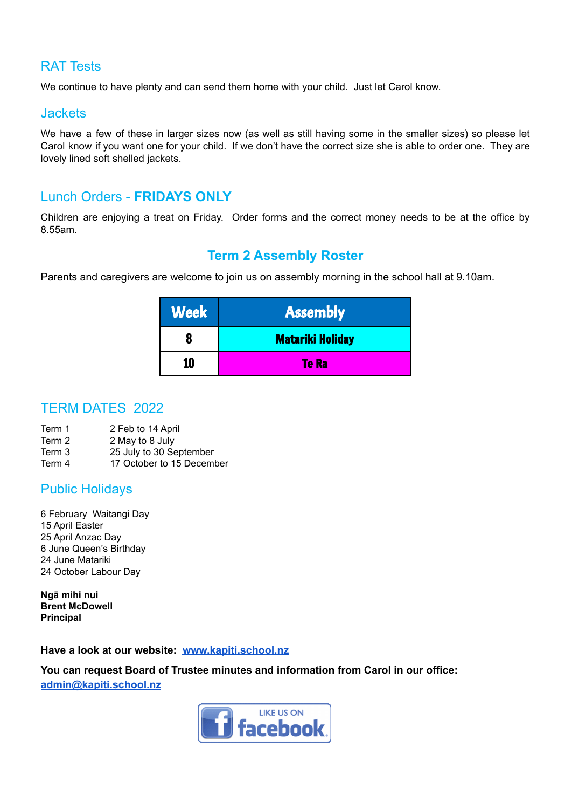#### RAT Tests

We continue to have plenty and can send them home with your child. Just let Carol know.

#### Jackets

We have a few of these in larger sizes now (as well as still having some in the smaller sizes) so please let Carol know if you want one for your child. If we don't have the correct size she is able to order one. They are lovely lined soft shelled jackets.

#### Lunch Orders - **FRIDAYS ONLY**

Children are enjoying a treat on Friday. Order forms and the correct money needs to be at the office by 8.55am.

### **Term 2 Assembly Roster**

Parents and caregivers are welcome to join us on assembly morning in the school hall at 9.10am.

| <b>Week</b> | <b>Assembly</b>         |
|-------------|-------------------------|
|             | <b>Matariki Holiday</b> |
|             | Te Ra                   |

#### TERM DATES 2022

- Term 1 2 Feb to 14 April
- Term 2 2 May to 8 July
- Term 3 25 July to 30 September
- Term 4 17 October to 15 December

#### Public Holidays

 February Waitangi Day April Easter April Anzac Day June Queen's Birthday June Matariki October Labour Day

**Ngā mihi nui Brent McDowell Principal**

#### **Have a look at our website: [www.kapiti.school.nz](http://www.kapiti.school.nz)**

**You can request Board of Trustee minutes and information from Carol in our office:**

**[admin@kapiti.school.nz](mailto:admin@kapiti.school.mz)**